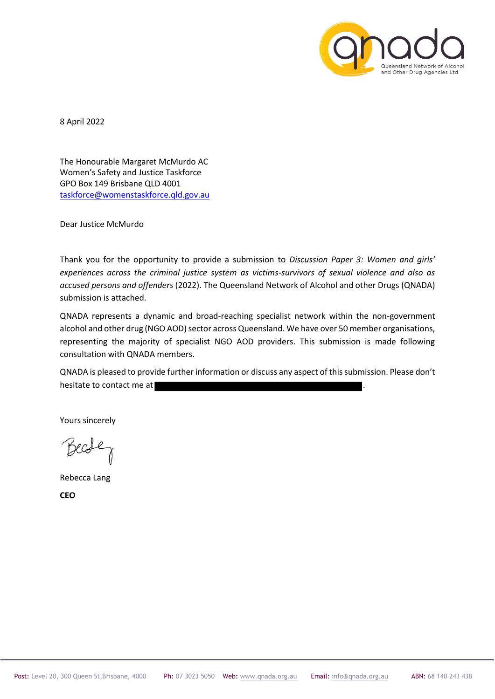

8 April 2022

The Honourable Margaret McMurdo AC Women's Safety and Justice Taskforce GPO Box 149 Brisbane QLD 4001 taskforce@womenstaskforce.qld.gov.au

Dear Justice McMurdo

Thank you for the opportunity to provide a submission to *Discussion Paper 3: Women and girls' experiences across the criminal justice system as victims-survivors of sexual violence and also as accused persons and offenders* (2022). The Queensland Network of Alcohol and other Drugs (QNADA) submission is attached.

QNADA represents a dynamic and broad-reaching specialist network within the non-government alcohol and other drug (NGO AOD) sector across Queensland. We have over 50 member organisations, representing the majority of specialist NGO AOD providers. This submission is made following consultation with QNADA members.

QNADA is pleased to provide further information or discuss any aspect of this submission. Please don't hesitate to contact me at

Yours sincerely

Becfe

Rebecca Lang

**CEO**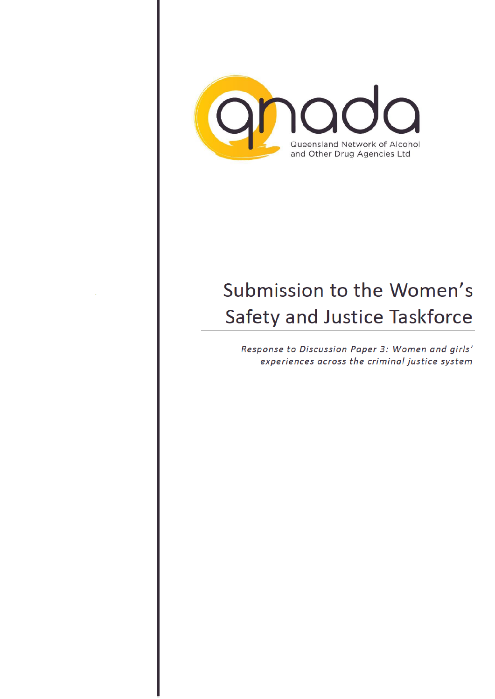

## Submission to the Women's Safety and Justice Taskforce

Response to Discussion Paper 3: Women and girls' experiences across the criminal justice system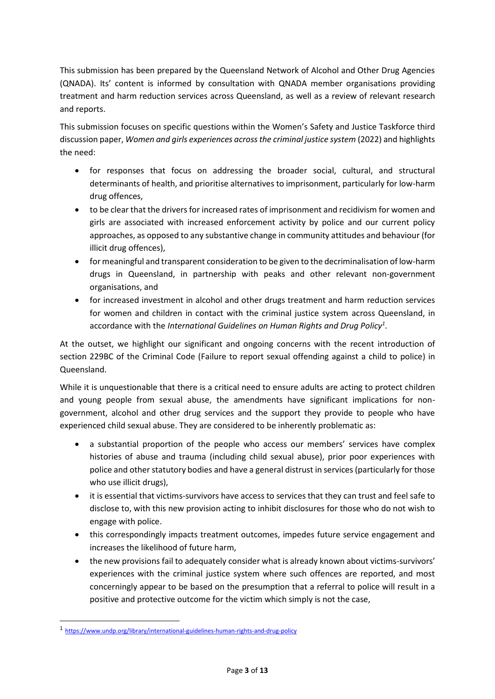This submission has been prepared by the Queensland Network of Alcohol and Other Drug Agencies (QNADA). Its' content is informed by consultation with QNADA member organisations providing treatment and harm reduction services across Queensland, as well as a review of relevant research and reports.

This submission focuses on specific questions within the Women's Safety and Justice Taskforce third discussion paper, *Women and girls experiences across the criminal justice system* (2022) and highlights the need:

- for responses that focus on addressing the broader social, cultural, and structural determinants of health, and prioritise alternatives to imprisonment, particularly for low-harm drug offences,
- to be clear that the drivers for increased rates of imprisonment and recidivism for women and girls are associated with increased enforcement activity by police and our current policy approaches, as opposed to any substantive change in community attitudes and behaviour (for illicit drug offences),
- for meaningful and transparent consideration to be given to the decriminalisation of low-harm drugs in Queensland, in partnership with peaks and other relevant non-government organisations, and
- for increased investment in alcohol and other drugs treatment and harm reduction services for women and children in contact with the criminal justice system across Queensland, in accordance with the *International Guidelines on Human Rights and Drug Policy<sup>1</sup>* .

At the outset, we highlight our significant and ongoing concerns with the recent introduction of section 229BC of the Criminal Code (Failure to report sexual offending against a child to police) in Queensland.

While it is unquestionable that there is a critical need to ensure adults are acting to protect children and young people from sexual abuse, the amendments have significant implications for nongovernment, alcohol and other drug services and the support they provide to people who have experienced child sexual abuse. They are considered to be inherently problematic as:

- a substantial proportion of the people who access our members' services have complex histories of abuse and trauma (including child sexual abuse), prior poor experiences with police and other statutory bodies and have a general distrust in services (particularly for those who use illicit drugs),
- it is essential that victims-survivors have access to services that they can trust and feel safe to disclose to, with this new provision acting to inhibit disclosures for those who do not wish to engage with police.
- this correspondingly impacts treatment outcomes, impedes future service engagement and increases the likelihood of future harm,
- the new provisions fail to adequately consider what is already known about victims-survivors' experiences with the criminal justice system where such offences are reported, and most concerningly appear to be based on the presumption that a referral to police will result in a positive and protective outcome for the victim which simply is not the case,

-

<sup>1</sup> https://www.undp.org/library/international-guidelines-human-rights-and-drug-policy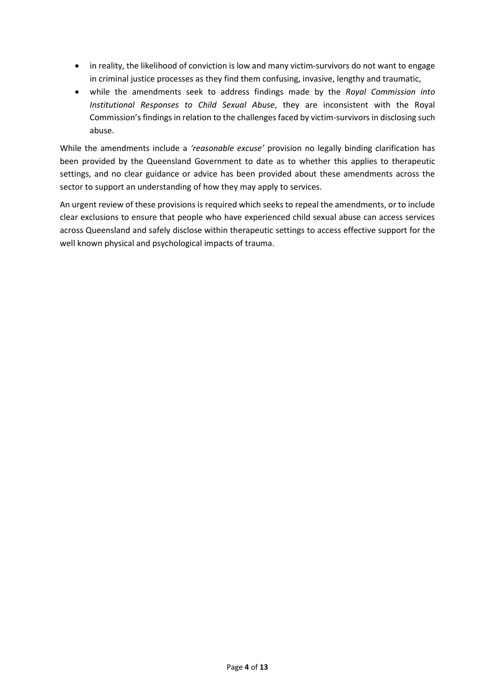- in reality, the likelihood of conviction is low and many victim-survivors do not want to engage in criminal justice processes as they find them confusing, invasive, lengthy and traumatic,
- while the amendments seek to address findings made by the *Royal Commission into Institutional Responses to Child Sexual Abuse*, they are inconsistent with the Royal Commission's findings in relation to the challenges faced by victim-survivors in disclosing such abuse.

While the amendments include a *'reasonable excuse'* provision no legally binding clarification has been provided by the Queensland Government to date as to whether this applies to therapeutic settings, and no clear guidance or advice has been provided about these amendments across the sector to support an understanding of how they may apply to services.

An urgent review of these provisions is required which seeks to repeal the amendments, or to include clear exclusions to ensure that people who have experienced child sexual abuse can access services across Queensland and safely disclose within therapeutic settings to access effective support for the well known physical and psychological impacts of trauma.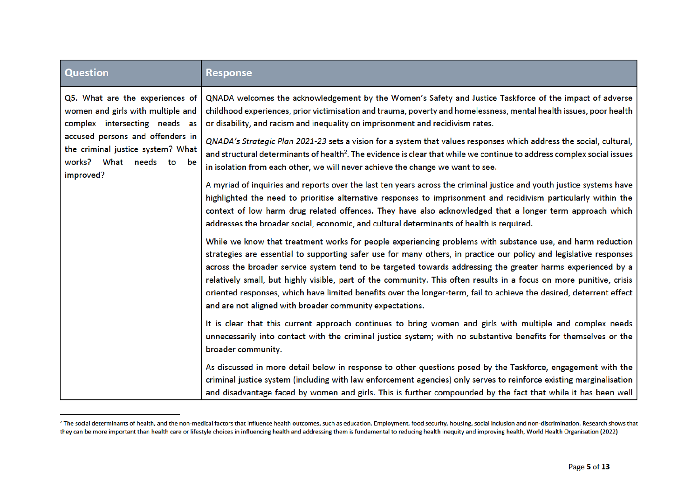| <b>Question</b>                                                                                                                                                                                                        | <b>Response</b>                                                                                                                                                                                                                                                                                                                                                                                                                                                                                                                                                                                                                                                                                                                                                                                                                                                                                                                                                                                                                                                                                                                                                                                                                                                                                                                                                                                                                                                                                                                                                                             |
|------------------------------------------------------------------------------------------------------------------------------------------------------------------------------------------------------------------------|---------------------------------------------------------------------------------------------------------------------------------------------------------------------------------------------------------------------------------------------------------------------------------------------------------------------------------------------------------------------------------------------------------------------------------------------------------------------------------------------------------------------------------------------------------------------------------------------------------------------------------------------------------------------------------------------------------------------------------------------------------------------------------------------------------------------------------------------------------------------------------------------------------------------------------------------------------------------------------------------------------------------------------------------------------------------------------------------------------------------------------------------------------------------------------------------------------------------------------------------------------------------------------------------------------------------------------------------------------------------------------------------------------------------------------------------------------------------------------------------------------------------------------------------------------------------------------------------|
| Q5. What are the experiences of<br>women and girls with multiple and<br>complex intersecting needs as<br>accused persons and offenders in<br>the criminal justice system? What<br>works? What needs to be<br>improved? | QNADA welcomes the acknowledgement by the Women's Safety and Justice Taskforce of the impact of adverse<br>childhood experiences, prior victimisation and trauma, poverty and homelessness, mental health issues, poor health<br>or disability, and racism and inequality on imprisonment and recidivism rates.<br>QNADA's Strategic Plan 2021-23 sets a vision for a system that values responses which address the social, cultural,<br>and structural determinants of health <sup>2</sup> . The evidence is clear that while we continue to address complex social issues<br>in isolation from each other, we will never achieve the change we want to see.<br>A myriad of inquiries and reports over the last ten years across the criminal justice and youth justice systems have<br>highlighted the need to prioritise alternative responses to imprisonment and recidivism particularly within the<br>context of low harm drug related offences. They have also acknowledged that a longer term approach which<br>addresses the broader social, economic, and cultural determinants of health is required.<br>While we know that treatment works for people experiencing problems with substance use, and harm reduction<br>strategies are essential to supporting safer use for many others, in practice our policy and legislative responses<br>across the broader service system tend to be targeted towards addressing the greater harms experienced by a<br>relatively small, but highly visible, part of the community. This often results in a focus on more punitive, crisis |
|                                                                                                                                                                                                                        | oriented responses, which have limited benefits over the longer-term, fail to achieve the desired, deterrent effect<br>and are not aligned with broader community expectations.                                                                                                                                                                                                                                                                                                                                                                                                                                                                                                                                                                                                                                                                                                                                                                                                                                                                                                                                                                                                                                                                                                                                                                                                                                                                                                                                                                                                             |
|                                                                                                                                                                                                                        | It is clear that this current approach continues to bring women and girls with multiple and complex needs<br>unnecessarily into contact with the criminal justice system; with no substantive benefits for themselves or the<br>broader community.                                                                                                                                                                                                                                                                                                                                                                                                                                                                                                                                                                                                                                                                                                                                                                                                                                                                                                                                                                                                                                                                                                                                                                                                                                                                                                                                          |
|                                                                                                                                                                                                                        | As discussed in more detail below in response to other questions posed by the Taskforce, engagement with the<br>criminal justice system (including with law enforcement agencies) only serves to reinforce existing marginalisation<br>and disadvantage faced by women and girls. This is further compounded by the fact that while it has been well                                                                                                                                                                                                                                                                                                                                                                                                                                                                                                                                                                                                                                                                                                                                                                                                                                                                                                                                                                                                                                                                                                                                                                                                                                        |

<sup>&</sup>lt;sup>2</sup> The social determinants of health, and the non-medical factors that influence health outcomes, such as education. Employment, food security, housing, social inclusion and non-discrimination. Research shows that they can be more important than health care or lifestyle choices in influencing health and addressing them is fundamental to reducing health inequity and improving health, World Health Organisation (2022)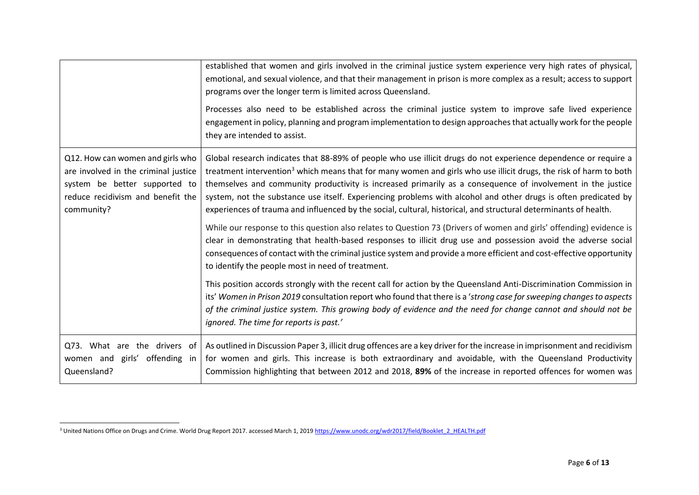|                                                                                                                                                              | established that women and girls involved in the criminal justice system experience very high rates of physical,<br>emotional, and sexual violence, and that their management in prison is more complex as a result; access to support<br>programs over the longer term is limited across Queensland.<br>Processes also need to be established across the criminal justice system to improve safe lived experience<br>engagement in policy, planning and program implementation to design approaches that actually work for the people                                                                 |
|--------------------------------------------------------------------------------------------------------------------------------------------------------------|--------------------------------------------------------------------------------------------------------------------------------------------------------------------------------------------------------------------------------------------------------------------------------------------------------------------------------------------------------------------------------------------------------------------------------------------------------------------------------------------------------------------------------------------------------------------------------------------------------|
|                                                                                                                                                              | they are intended to assist.                                                                                                                                                                                                                                                                                                                                                                                                                                                                                                                                                                           |
| Q12. How can women and girls who<br>are involved in the criminal justice<br>system be better supported to<br>reduce recidivism and benefit the<br>community? | Global research indicates that 88-89% of people who use illicit drugs do not experience dependence or require a<br>treatment intervention <sup>3</sup> which means that for many women and girls who use illicit drugs, the risk of harm to both<br>themselves and community productivity is increased primarily as a consequence of involvement in the justice<br>system, not the substance use itself. Experiencing problems with alcohol and other drugs is often predicated by<br>experiences of trauma and influenced by the social, cultural, historical, and structural determinants of health. |
|                                                                                                                                                              | While our response to this question also relates to Question 73 (Drivers of women and girls' offending) evidence is<br>clear in demonstrating that health-based responses to illicit drug use and possession avoid the adverse social<br>consequences of contact with the criminal justice system and provide a more efficient and cost-effective opportunity<br>to identify the people most in need of treatment.                                                                                                                                                                                     |
|                                                                                                                                                              | This position accords strongly with the recent call for action by the Queensland Anti-Discrimination Commission in<br>its' Women in Prison 2019 consultation report who found that there is a 'strong case for sweeping changes to aspects<br>of the criminal justice system. This growing body of evidence and the need for change cannot and should not be<br>ignored. The time for reports is past.'                                                                                                                                                                                                |
| Q73. What are the drivers of<br>women and girls' offending in<br>Queensland?                                                                                 | As outlined in Discussion Paper 3, illicit drug offences are a key driver for the increase in imprisonment and recidivism<br>for women and girls. This increase is both extraordinary and avoidable, with the Queensland Productivity<br>Commission highlighting that between 2012 and 2018, 89% of the increase in reported offences for women was                                                                                                                                                                                                                                                    |

 $\overline{a}$ <sup>3</sup> United Nations Office on Drugs and Crime. World Drug Report 2017. accessed March 1, 2019 https://www.unodc.org/wdr2017/field/Booklet\_2\_HEALTH.pdf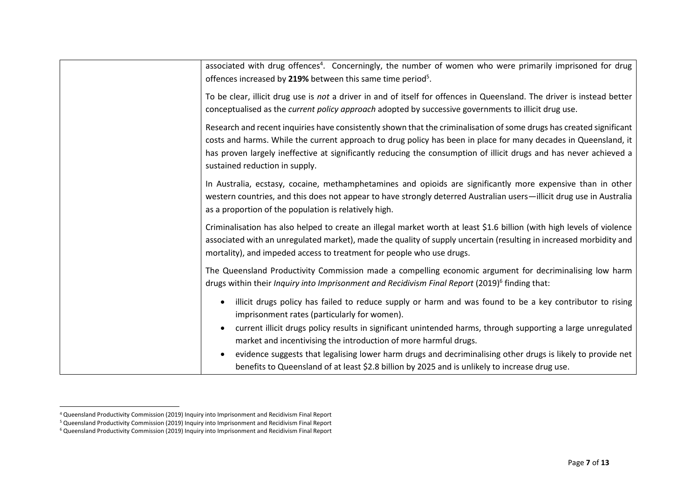| associated with drug offences <sup>4</sup> . Concerningly, the number of women who were primarily imprisoned for drug<br>offences increased by 219% between this same time period <sup>5</sup> .                                                                                                                                                                                                |
|-------------------------------------------------------------------------------------------------------------------------------------------------------------------------------------------------------------------------------------------------------------------------------------------------------------------------------------------------------------------------------------------------|
| To be clear, illicit drug use is not a driver in and of itself for offences in Queensland. The driver is instead better<br>conceptualised as the <i>current policy approach</i> adopted by successive governments to illicit drug use.                                                                                                                                                          |
| Research and recent inquiries have consistently shown that the criminalisation of some drugs has created significant<br>costs and harms. While the current approach to drug policy has been in place for many decades in Queensland, it<br>has proven largely ineffective at significantly reducing the consumption of illicit drugs and has never achieved a<br>sustained reduction in supply. |
| In Australia, ecstasy, cocaine, methamphetamines and opioids are significantly more expensive than in other<br>western countries, and this does not appear to have strongly deterred Australian users-illicit drug use in Australia<br>as a proportion of the population is relatively high.                                                                                                    |
| Criminalisation has also helped to create an illegal market worth at least \$1.6 billion (with high levels of violence<br>associated with an unregulated market), made the quality of supply uncertain (resulting in increased morbidity and<br>mortality), and impeded access to treatment for people who use drugs.                                                                           |
| The Queensland Productivity Commission made a compelling economic argument for decriminalising low harm<br>drugs within their Inquiry into Imprisonment and Recidivism Final Report (2019) <sup>6</sup> finding that:                                                                                                                                                                           |
| illicit drugs policy has failed to reduce supply or harm and was found to be a key contributor to rising<br>imprisonment rates (particularly for women).                                                                                                                                                                                                                                        |
| current illicit drugs policy results in significant unintended harms, through supporting a large unregulated<br>market and incentivising the introduction of more harmful drugs.                                                                                                                                                                                                                |
| evidence suggests that legalising lower harm drugs and decriminalising other drugs is likely to provide net<br>benefits to Queensland of at least \$2.8 billion by 2025 and is unlikely to increase drug use.                                                                                                                                                                                   |

 $\overline{a}$ 

<sup>4</sup> Queensland Productivity Commission (2019) Inquiry into Imprisonment and Recidivism Final Report

<sup>5</sup> Queensland Productivity Commission (2019) Inquiry into Imprisonment and Recidivism Final Report

<sup>6</sup> Queensland Productivity Commission (2019) Inquiry into Imprisonment and Recidivism Final Report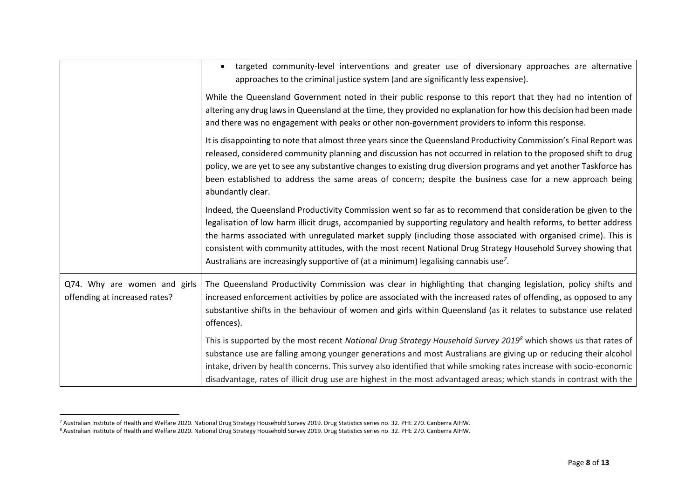|                                                               | targeted community-level interventions and greater use of diversionary approaches are alternative<br>approaches to the criminal justice system (and are significantly less expensive).                                                                                                                                                                                                                                                                                                                                                                                      |
|---------------------------------------------------------------|-----------------------------------------------------------------------------------------------------------------------------------------------------------------------------------------------------------------------------------------------------------------------------------------------------------------------------------------------------------------------------------------------------------------------------------------------------------------------------------------------------------------------------------------------------------------------------|
|                                                               | While the Queensland Government noted in their public response to this report that they had no intention of<br>altering any drug laws in Queensland at the time, they provided no explanation for how this decision had been made<br>and there was no engagement with peaks or other non-government providers to inform this response.                                                                                                                                                                                                                                      |
|                                                               | It is disappointing to note that almost three years since the Queensland Productivity Commission's Final Report was<br>released, considered community planning and discussion has not occurred in relation to the proposed shift to drug<br>policy, we are yet to see any substantive changes to existing drug diversion programs and yet another Taskforce has<br>been established to address the same areas of concern; despite the business case for a new approach being<br>abundantly clear.                                                                           |
|                                                               | Indeed, the Queensland Productivity Commission went so far as to recommend that consideration be given to the<br>legalisation of low harm illicit drugs, accompanied by supporting regulatory and health reforms, to better address<br>the harms associated with unregulated market supply (including those associated with organised crime). This is<br>consistent with community attitudes, with the most recent National Drug Strategy Household Survey showing that<br>Australians are increasingly supportive of (at a minimum) legalising cannabis use <sup>7</sup> . |
| Q74. Why are women and girls<br>offending at increased rates? | The Queensland Productivity Commission was clear in highlighting that changing legislation, policy shifts and<br>increased enforcement activities by police are associated with the increased rates of offending, as opposed to any<br>substantive shifts in the behaviour of women and girls within Queensland (as it relates to substance use related<br>offences).                                                                                                                                                                                                       |
|                                                               | This is supported by the most recent National Drug Strategy Household Survey 2019 <sup>8</sup> which shows us that rates of<br>substance use are falling among younger generations and most Australians are giving up or reducing their alcohol<br>intake, driven by health concerns. This survey also identified that while smoking rates increase with socio-economic<br>disadvantage, rates of illicit drug use are highest in the most advantaged areas; which stands in contrast with the                                                                              |

<sup>&</sup>lt;sup>7</sup> Australian Institute of Health and Welfare 2020. National Drug Strategy Household Survey 2019. Drug Statistics series no. 32. PHE 270. Canberra AIHW.

<sup>8</sup> Australian Institute of Health and Welfare 2020. National Drug Strategy Household Survey 2019. Drug Statistics series no. 32. PHE 270. Canberra AIHW.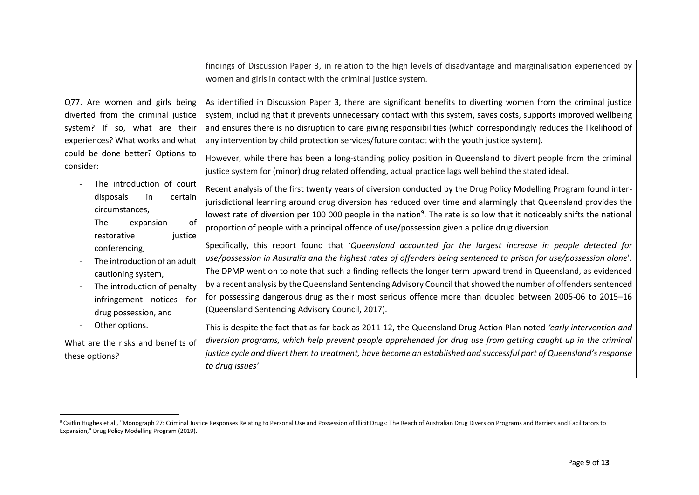|                                                                                                                                                                                                                                                                                                                                                                                                                                   | findings of Discussion Paper 3, in relation to the high levels of disadvantage and marginalisation experienced by<br>women and girls in contact with the criminal justice system.                                                                                                                                                                                                                                                                                                                                                                                                                                                                                                                                                                                                                                                                                                                                                                                                                                                                                                                                                                                                                                                                                                                                                                                                                                                                                                                                                                                                                                                                   |
|-----------------------------------------------------------------------------------------------------------------------------------------------------------------------------------------------------------------------------------------------------------------------------------------------------------------------------------------------------------------------------------------------------------------------------------|-----------------------------------------------------------------------------------------------------------------------------------------------------------------------------------------------------------------------------------------------------------------------------------------------------------------------------------------------------------------------------------------------------------------------------------------------------------------------------------------------------------------------------------------------------------------------------------------------------------------------------------------------------------------------------------------------------------------------------------------------------------------------------------------------------------------------------------------------------------------------------------------------------------------------------------------------------------------------------------------------------------------------------------------------------------------------------------------------------------------------------------------------------------------------------------------------------------------------------------------------------------------------------------------------------------------------------------------------------------------------------------------------------------------------------------------------------------------------------------------------------------------------------------------------------------------------------------------------------------------------------------------------------|
| Q77. Are women and girls being<br>diverted from the criminal justice<br>system? If so, what are their<br>experiences? What works and what<br>could be done better? Options to<br>consider:<br>The introduction of court<br>disposals<br>in<br>certain<br>circumstances,<br>of<br>The<br>expansion<br>justice<br>restorative<br>conferencing,<br>The introduction of an adult<br>cautioning system,<br>The introduction of penalty | As identified in Discussion Paper 3, there are significant benefits to diverting women from the criminal justice<br>system, including that it prevents unnecessary contact with this system, saves costs, supports improved wellbeing<br>and ensures there is no disruption to care giving responsibilities (which correspondingly reduces the likelihood of<br>any intervention by child protection services/future contact with the youth justice system).<br>However, while there has been a long-standing policy position in Queensland to divert people from the criminal<br>justice system for (minor) drug related offending, actual practice lags well behind the stated ideal.<br>Recent analysis of the first twenty years of diversion conducted by the Drug Policy Modelling Program found inter-<br>jurisdictional learning around drug diversion has reduced over time and alarmingly that Queensland provides the<br>lowest rate of diversion per 100 000 people in the nation <sup>9</sup> . The rate is so low that it noticeably shifts the national<br>proportion of people with a principal offence of use/possession given a police drug diversion.<br>Specifically, this report found that 'Queensland accounted for the largest increase in people detected for<br>use/possession in Australia and the highest rates of offenders being sentenced to prison for use/possession alone'.<br>The DPMP went on to note that such a finding reflects the longer term upward trend in Queensland, as evidenced<br>by a recent analysis by the Queensland Sentencing Advisory Council that showed the number of offenders sentenced |
| infringement notices for<br>drug possession, and                                                                                                                                                                                                                                                                                                                                                                                  | for possessing dangerous drug as their most serious offence more than doubled between 2005-06 to 2015-16<br>(Queensland Sentencing Advisory Council, 2017).                                                                                                                                                                                                                                                                                                                                                                                                                                                                                                                                                                                                                                                                                                                                                                                                                                                                                                                                                                                                                                                                                                                                                                                                                                                                                                                                                                                                                                                                                         |
| Other options.<br>What are the risks and benefits of                                                                                                                                                                                                                                                                                                                                                                              | This is despite the fact that as far back as 2011-12, the Queensland Drug Action Plan noted 'early intervention and<br>diversion programs, which help prevent people apprehended for drug use from getting caught up in the criminal                                                                                                                                                                                                                                                                                                                                                                                                                                                                                                                                                                                                                                                                                                                                                                                                                                                                                                                                                                                                                                                                                                                                                                                                                                                                                                                                                                                                                |
| these options?                                                                                                                                                                                                                                                                                                                                                                                                                    | justice cycle and divert them to treatment, have become an established and successful part of Queensland's response<br>to drug issues'.                                                                                                                                                                                                                                                                                                                                                                                                                                                                                                                                                                                                                                                                                                                                                                                                                                                                                                                                                                                                                                                                                                                                                                                                                                                                                                                                                                                                                                                                                                             |

<sup>&</sup>lt;sup>9</sup> Caitlin Hughes et al., "Monograph 27: Criminal Justice Responses Relating to Personal Use and Possession of Illicit Drugs: The Reach of Australian Drug Diversion Programs and Barriers and Facilitators to Expansion," Drug Policy Modelling Program (2019).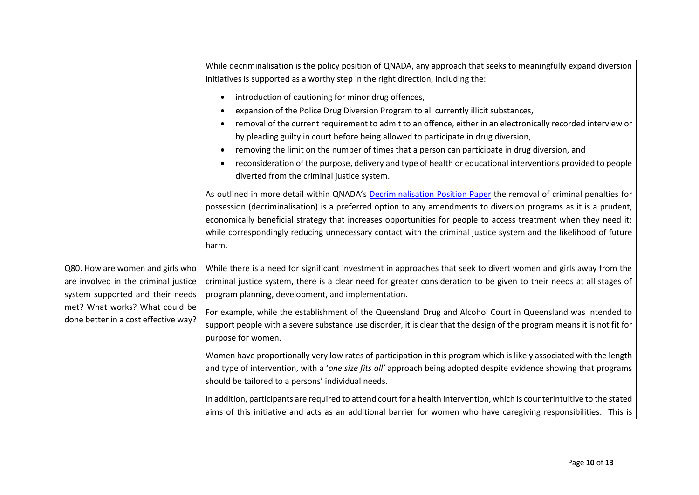|                                                                                                                                                                                        | While decriminalisation is the policy position of QNADA, any approach that seeks to meaningfully expand diversion<br>initiatives is supported as a worthy step in the right direction, including the:<br>introduction of cautioning for minor drug offences,<br>$\bullet$<br>expansion of the Police Drug Diversion Program to all currently illicit substances,<br>removal of the current requirement to admit to an offence, either in an electronically recorded interview or<br>by pleading guilty in court before being allowed to participate in drug diversion,<br>removing the limit on the number of times that a person can participate in drug diversion, and<br>reconsideration of the purpose, delivery and type of health or educational interventions provided to people<br>diverted from the criminal justice system. |
|----------------------------------------------------------------------------------------------------------------------------------------------------------------------------------------|---------------------------------------------------------------------------------------------------------------------------------------------------------------------------------------------------------------------------------------------------------------------------------------------------------------------------------------------------------------------------------------------------------------------------------------------------------------------------------------------------------------------------------------------------------------------------------------------------------------------------------------------------------------------------------------------------------------------------------------------------------------------------------------------------------------------------------------|
|                                                                                                                                                                                        | As outlined in more detail within QNADA's Decriminalisation Position Paper the removal of criminal penalties for<br>possession (decriminalisation) is a preferred option to any amendments to diversion programs as it is a prudent,<br>economically beneficial strategy that increases opportunities for people to access treatment when they need it;<br>while correspondingly reducing unnecessary contact with the criminal justice system and the likelihood of future<br>harm.                                                                                                                                                                                                                                                                                                                                                  |
| Q80. How are women and girls who<br>are involved in the criminal justice<br>system supported and their needs<br>met? What works? What could be<br>done better in a cost effective way? | While there is a need for significant investment in approaches that seek to divert women and girls away from the<br>criminal justice system, there is a clear need for greater consideration to be given to their needs at all stages of<br>program planning, development, and implementation.                                                                                                                                                                                                                                                                                                                                                                                                                                                                                                                                        |
|                                                                                                                                                                                        | For example, while the establishment of the Queensland Drug and Alcohol Court in Queensland was intended to<br>support people with a severe substance use disorder, it is clear that the design of the program means it is not fit for<br>purpose for women.                                                                                                                                                                                                                                                                                                                                                                                                                                                                                                                                                                          |
|                                                                                                                                                                                        | Women have proportionally very low rates of participation in this program which is likely associated with the length<br>and type of intervention, with a 'one size fits all' approach being adopted despite evidence showing that programs<br>should be tailored to a persons' individual needs.                                                                                                                                                                                                                                                                                                                                                                                                                                                                                                                                      |
|                                                                                                                                                                                        | In addition, participants are required to attend court for a health intervention, which is counterintuitive to the stated<br>aims of this initiative and acts as an additional barrier for women who have caregiving responsibilities. This is                                                                                                                                                                                                                                                                                                                                                                                                                                                                                                                                                                                        |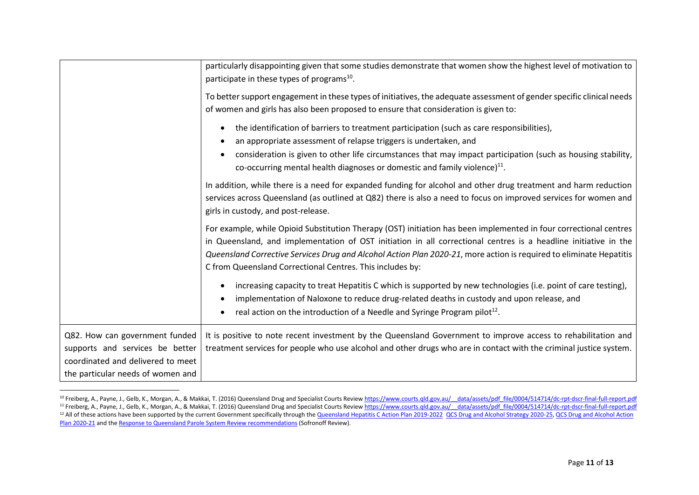|                                                                                                                                             | particularly disappointing given that some studies demonstrate that women show the highest level of motivation to<br>participate in these types of programs <sup>10</sup> .                                                                                                                                                                                                                                              |
|---------------------------------------------------------------------------------------------------------------------------------------------|--------------------------------------------------------------------------------------------------------------------------------------------------------------------------------------------------------------------------------------------------------------------------------------------------------------------------------------------------------------------------------------------------------------------------|
|                                                                                                                                             | To better support engagement in these types of initiatives, the adequate assessment of gender specific clinical needs<br>of women and girls has also been proposed to ensure that consideration is given to:                                                                                                                                                                                                             |
|                                                                                                                                             | the identification of barriers to treatment participation (such as care responsibilities),<br>an appropriate assessment of relapse triggers is undertaken, and                                                                                                                                                                                                                                                           |
|                                                                                                                                             | consideration is given to other life circumstances that may impact participation (such as housing stability,<br>co-occurring mental health diagnoses or domestic and family violence) $^{11}$ .                                                                                                                                                                                                                          |
|                                                                                                                                             | In addition, while there is a need for expanded funding for alcohol and other drug treatment and harm reduction<br>services across Queensland (as outlined at Q82) there is also a need to focus on improved services for women and<br>girls in custody, and post-release.                                                                                                                                               |
|                                                                                                                                             | For example, while Opioid Substitution Therapy (OST) initiation has been implemented in four correctional centres<br>in Queensland, and implementation of OST initiation in all correctional centres is a headline initiative in the<br>Queensland Corrective Services Drug and Alcohol Action Plan 2020-21, more action is required to eliminate Hepatitis<br>C from Queensland Correctional Centres. This includes by: |
|                                                                                                                                             | increasing capacity to treat Hepatitis C which is supported by new technologies (i.e. point of care testing),<br>implementation of Naloxone to reduce drug-related deaths in custody and upon release, and<br>real action on the introduction of a Needle and Syringe Program pilot <sup>12</sup> .                                                                                                                      |
| Q82. How can government funded<br>supports and services be better<br>coordinated and delivered to meet<br>the particular needs of women and | It is positive to note recent investment by the Queensland Government to improve access to rehabilitation and<br>treatment services for people who use alcohol and other drugs who are in contact with the criminal justice system.                                                                                                                                                                                      |

<sup>&</sup>lt;sup>10</sup> Freiberg, A., Payne, J., Gelb, K., Morgan, A., & Makkai, T. (2016) Queensland Drug and Specialist Courts Review https://www.courts.qld.gov.au/ data/assets/pdf file/0004/514714/dc-rpt-dscr-final-full-report.pdf <sup>11</sup> Freiberg, A., Payne, J., Gelb, K., Morgan, A., & Makkai, T. (2016) Queensland Drug and Specialist Courts Review https://www.courts.qld.gov.au/\_\_data/assets/pdf\_file/0004/514714/dc-rpt-dscr-final-full-report.pdf <sup>12</sup> All of these actions have been supported by the current Government specifically through the Queensland Hepatitis C Action Plan 2019-2022 QCS Drug and Alcohol Strategy 2020-25, QCS Drug and Alcohol Action Plan 2020-21 and the Response to Queensland Parole System Review recommendations (Sofronoff Review).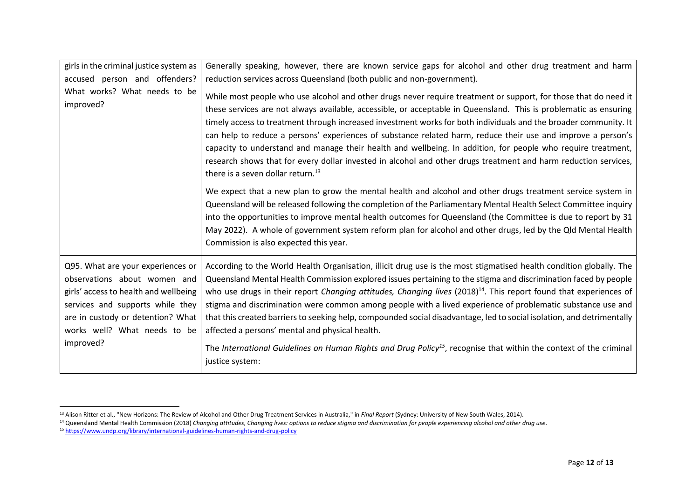| girls in the criminal justice system as                                                                                                                                                                                          | Generally speaking, however, there are known service gaps for alcohol and other drug treatment and harm                                                                                                                                                                                                                                                                                                                                                                                                                                                                                                                                                                                                                                                                                               |
|----------------------------------------------------------------------------------------------------------------------------------------------------------------------------------------------------------------------------------|-------------------------------------------------------------------------------------------------------------------------------------------------------------------------------------------------------------------------------------------------------------------------------------------------------------------------------------------------------------------------------------------------------------------------------------------------------------------------------------------------------------------------------------------------------------------------------------------------------------------------------------------------------------------------------------------------------------------------------------------------------------------------------------------------------|
| accused person and offenders?                                                                                                                                                                                                    | reduction services across Queensland (both public and non-government).                                                                                                                                                                                                                                                                                                                                                                                                                                                                                                                                                                                                                                                                                                                                |
| What works? What needs to be<br>improved?                                                                                                                                                                                        | While most people who use alcohol and other drugs never require treatment or support, for those that do need it<br>these services are not always available, accessible, or acceptable in Queensland. This is problematic as ensuring<br>timely access to treatment through increased investment works for both individuals and the broader community. It<br>can help to reduce a persons' experiences of substance related harm, reduce their use and improve a person's<br>capacity to understand and manage their health and wellbeing. In addition, for people who require treatment,<br>research shows that for every dollar invested in alcohol and other drugs treatment and harm reduction services,<br>there is a seven dollar return. <sup>13</sup>                                          |
|                                                                                                                                                                                                                                  | We expect that a new plan to grow the mental health and alcohol and other drugs treatment service system in<br>Queensland will be released following the completion of the Parliamentary Mental Health Select Committee inquiry<br>into the opportunities to improve mental health outcomes for Queensland (the Committee is due to report by 31<br>May 2022). A whole of government system reform plan for alcohol and other drugs, led by the Qld Mental Health<br>Commission is also expected this year.                                                                                                                                                                                                                                                                                           |
| Q95. What are your experiences or<br>observations about women and<br>girls' access to health and wellbeing<br>services and supports while they<br>are in custody or detention? What<br>works well? What needs to be<br>improved? | According to the World Health Organisation, illicit drug use is the most stigmatised health condition globally. The<br>Queensland Mental Health Commission explored issues pertaining to the stigma and discrimination faced by people<br>who use drugs in their report Changing attitudes, Changing lives (2018) <sup>14</sup> . This report found that experiences of<br>stigma and discrimination were common among people with a lived experience of problematic substance use and<br>that this created barriers to seeking help, compounded social disadvantage, led to social isolation, and detrimentally<br>affected a persons' mental and physical health.<br>The International Guidelines on Human Rights and Drug Policy <sup>15</sup> , recognise that within the context of the criminal |
|                                                                                                                                                                                                                                  | justice system:                                                                                                                                                                                                                                                                                                                                                                                                                                                                                                                                                                                                                                                                                                                                                                                       |

 $\overline{a}$ 

<sup>13</sup> Alison Ritter et al., "New Horizons: The Review of Alcohol and Other Drug Treatment Services in Australia," in *Final Report* (Sydney: University of New South Wales, 2014).

<sup>&</sup>lt;sup>14</sup> Queensland Mental Health Commission (2018) *Changing attitudes, Changing lives: options to reduce stigma and discrimination for people experiencing alcohol and other drug use.* 

<sup>15</sup> https://www.undp.org/library/international-guidelines-human-rights-and-drug-policy